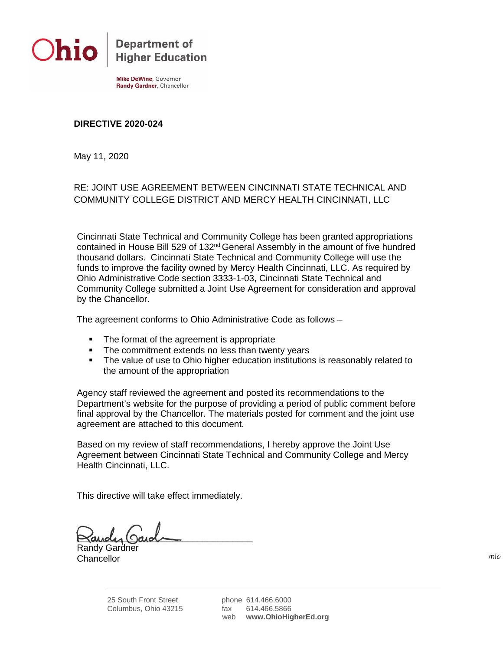

**Department of Higher Education** 

**Mike DeWine**, Governor Randy Gardner, Chancellor

## **DIRECTIVE 2020-024**

May 11, 2020

## RE: JOINT USE AGREEMENT BETWEEN CINCINNATI STATE TECHNICAL AND COMMUNITY COLLEGE DISTRICT AND MERCY HEALTH CINCINNATI, LLC

Cincinnati State Technical and Community College has been granted appropriations contained in House Bill 529 of 132<sup>nd</sup> General Assembly in the amount of five hundred thousand dollars. Cincinnati State Technical and Community College will use the funds to improve the facility owned by Mercy Health Cincinnati, LLC. As required by Ohio Administrative Code section 3333-1-03, Cincinnati State Technical and Community College submitted a Joint Use Agreement for consideration and approval by the Chancellor.

The agreement conforms to Ohio Administrative Code as follows –

- The format of the agreement is appropriate
- The commitment extends no less than twenty years
- The value of use to Ohio higher education institutions is reasonably related to the amount of the appropriation

Agency staff reviewed the agreement and posted its recommendations to the Department's website for the purpose of providing a period of public comment before final approval by the Chancellor. The materials posted for comment and the joint use agreement are attached to this document.

Based on my review of staff recommendations, I hereby approve the Joint Use Agreement between Cincinnati State Technical and Community College and Mercy Health Cincinnati, LLC.

This directive will take effect immediately.

 $\approx$  andy gard

Randy Gardner **Chancellor** 

 $m/c$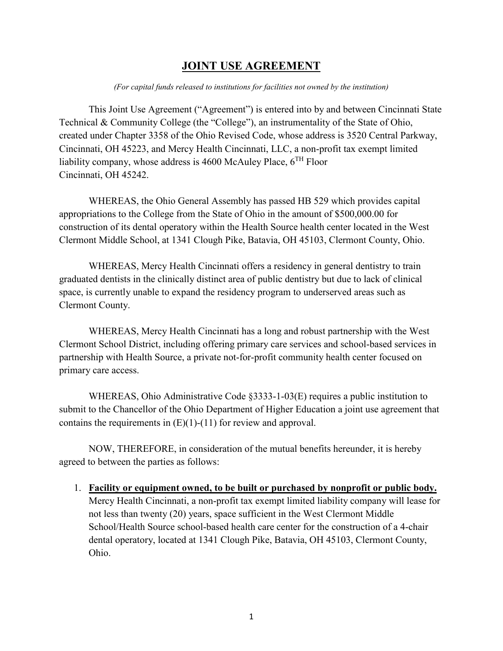# **JOINT USE AGREEMENT**

#### *(For capital funds released to institutions for facilities not owned by the institution)*

This Joint Use Agreement ("Agreement") is entered into by and between Cincinnati State Technical & Community College (the "College"), an instrumentality of the State of Ohio, created under Chapter 3358 of the Ohio Revised Code, whose address is 3520 Central Parkway, Cincinnati, OH 45223, and Mercy Health Cincinnati, LLC, a non-profit tax exempt limited liability company, whose address is 4600 McAuley Place,  $6^{TH}$  Floor Cincinnati, OH 45242.

WHEREAS, the Ohio General Assembly has passed HB 529 which provides capital appropriations to the College from the State of Ohio in the amount of \$500,000.00 for construction of its dental operatory within the Health Source health center located in the West Clermont Middle School, at 1341 Clough Pike, Batavia, OH 45103, Clermont County, Ohio.

WHEREAS, Mercy Health Cincinnati offers a residency in general dentistry to train graduated dentists in the clinically distinct area of public dentistry but due to lack of clinical space, is currently unable to expand the residency program to underserved areas such as Clermont County.

WHEREAS, Mercy Health Cincinnati has a long and robust partnership with the West Clermont School District, including offering primary care services and school-based services in partnership with Health Source, a private not-for-profit community health center focused on primary care access.

WHEREAS, Ohio Administrative Code §3333-1-03(E) requires a public institution to submit to the Chancellor of the Ohio Department of Higher Education a joint use agreement that contains the requirements in  $(E)(1)-(11)$  for review and approval.

NOW, THEREFORE, in consideration of the mutual benefits hereunder, it is hereby agreed to between the parties as follows:

1. **Facility or equipment owned, to be built or purchased by nonprofit or public body.** Mercy Health Cincinnati, a non-profit tax exempt limited liability company will lease for not less than twenty (20) years, space sufficient in the West Clermont Middle School/Health Source school-based health care center for the construction of a 4-chair dental operatory, located at 1341 Clough Pike, Batavia, OH 45103, Clermont County, Ohio.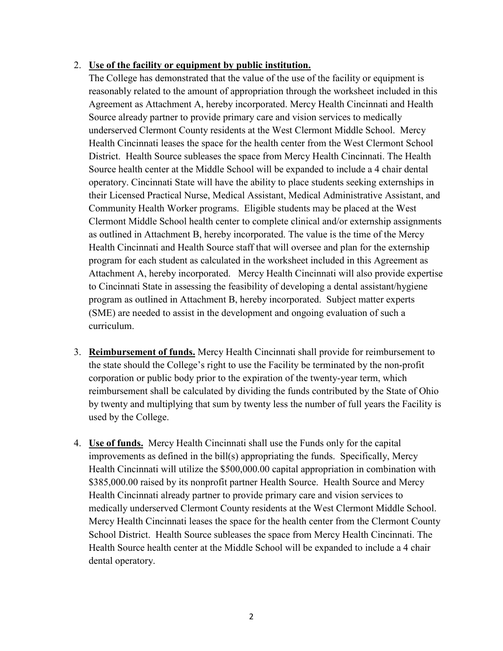## 2. **Use of the facility or equipment by public institution.**

The College has demonstrated that the value of the use of the facility or equipment is reasonably related to the amount of appropriation through the worksheet included in this Agreement as Attachment A, hereby incorporated. Mercy Health Cincinnati and Health Source already partner to provide primary care and vision services to medically underserved Clermont County residents at the West Clermont Middle School. Mercy Health Cincinnati leases the space for the health center from the West Clermont School District. Health Source subleases the space from Mercy Health Cincinnati. The Health Source health center at the Middle School will be expanded to include a 4 chair dental operatory. Cincinnati State will have the ability to place students seeking externships in their Licensed Practical Nurse, Medical Assistant, Medical Administrative Assistant, and Community Health Worker programs. Eligible students may be placed at the West Clermont Middle School health center to complete clinical and/or externship assignments as outlined in Attachment B, hereby incorporated. The value is the time of the Mercy Health Cincinnati and Health Source staff that will oversee and plan for the externship program for each student as calculated in the worksheet included in this Agreement as Attachment A, hereby incorporated. Mercy Health Cincinnati will also provide expertise to Cincinnati State in assessing the feasibility of developing a dental assistant/hygiene program as outlined in Attachment B, hereby incorporated. Subject matter experts (SME) are needed to assist in the development and ongoing evaluation of such a curriculum.

- 3. **Reimbursement of funds.** Mercy Health Cincinnati shall provide for reimbursement to the state should the College's right to use the Facility be terminated by the non-profit corporation or public body prior to the expiration of the twenty-year term, which reimbursement shall be calculated by dividing the funds contributed by the State of Ohio by twenty and multiplying that sum by twenty less the number of full years the Facility is used by the College.
- 4. **Use of funds.** Mercy Health Cincinnati shall use the Funds only for the capital improvements as defined in the bill(s) appropriating the funds. Specifically, Mercy Health Cincinnati will utilize the \$500,000.00 capital appropriation in combination with \$385,000.00 raised by its nonprofit partner Health Source. Health Source and Mercy Health Cincinnati already partner to provide primary care and vision services to medically underserved Clermont County residents at the West Clermont Middle School. Mercy Health Cincinnati leases the space for the health center from the Clermont County School District. Health Source subleases the space from Mercy Health Cincinnati. The Health Source health center at the Middle School will be expanded to include a 4 chair dental operatory.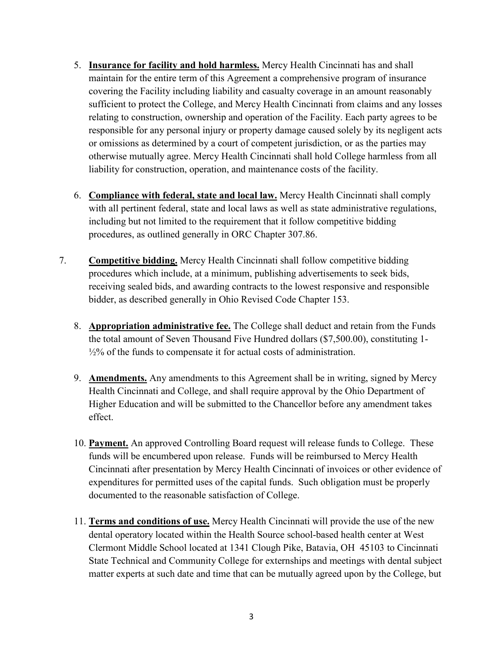- 5. **Insurance for facility and hold harmless.** Mercy Health Cincinnati has and shall maintain for the entire term of this Agreement a comprehensive program of insurance covering the Facility including liability and casualty coverage in an amount reasonably sufficient to protect the College, and Mercy Health Cincinnati from claims and any losses relating to construction, ownership and operation of the Facility. Each party agrees to be responsible for any personal injury or property damage caused solely by its negligent acts or omissions as determined by a court of competent jurisdiction, or as the parties may otherwise mutually agree. Mercy Health Cincinnati shall hold College harmless from all liability for construction, operation, and maintenance costs of the facility.
- 6. **Compliance with federal, state and local law.** Mercy Health Cincinnati shall comply with all pertinent federal, state and local laws as well as state administrative regulations, including but not limited to the requirement that it follow competitive bidding procedures, as outlined generally in ORC Chapter 307.86.
- 7. **Competitive bidding.** Mercy Health Cincinnati shall follow competitive bidding procedures which include, at a minimum, publishing advertisements to seek bids, receiving sealed bids, and awarding contracts to the lowest responsive and responsible bidder, as described generally in Ohio Revised Code Chapter 153.
	- 8. **Appropriation administrative fee.** The College shall deduct and retain from the Funds the total amount of Seven Thousand Five Hundred dollars (\$7,500.00), constituting 1- ½% of the funds to compensate it for actual costs of administration.
	- 9. **Amendments.** Any amendments to this Agreement shall be in writing, signed by Mercy Health Cincinnati and College, and shall require approval by the Ohio Department of Higher Education and will be submitted to the Chancellor before any amendment takes effect.
	- 10. **Payment.** An approved Controlling Board request will release funds to College. These funds will be encumbered upon release. Funds will be reimbursed to Mercy Health Cincinnati after presentation by Mercy Health Cincinnati of invoices or other evidence of expenditures for permitted uses of the capital funds. Such obligation must be properly documented to the reasonable satisfaction of College.
	- 11. **Terms and conditions of use.** Mercy Health Cincinnati will provide the use of the new dental operatory located within the Health Source school-based health center at West Clermont Middle School located at 1341 Clough Pike, Batavia, OH 45103 to Cincinnati State Technical and Community College for externships and meetings with dental subject matter experts at such date and time that can be mutually agreed upon by the College, but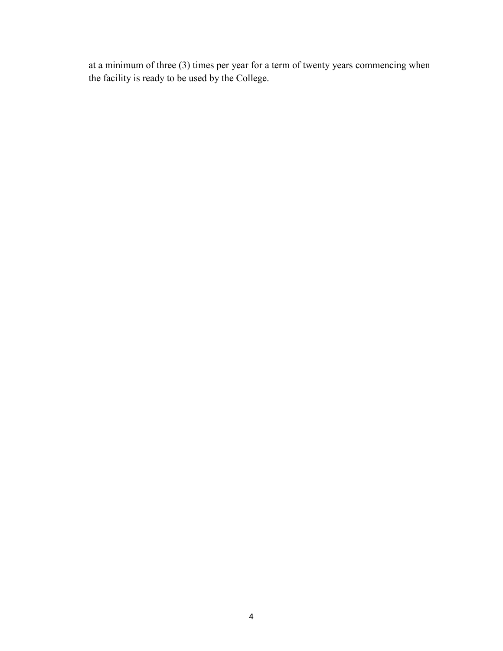at a minimum of three (3) times per year for a term of twenty years commencing when the facility is ready to be used by the College.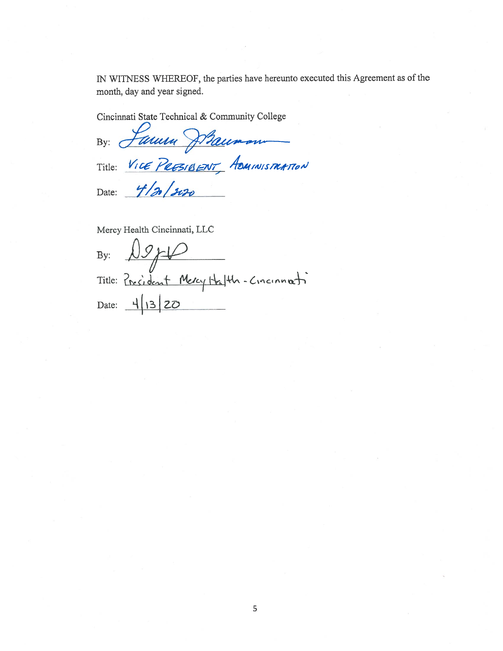IN WITNESS WHEREOF, the parties have hereunto executed this Agreement as of the month, day and year signed.

Cincinnati State Technical & Community College

By: *Janun Straumon* 

Date: 4/2/2020

Mercy Health Cincinnati, LLC

By:  $09/10$ <br>Title: President Mercy Halth-Cincinnati Date:  $\frac{1}{13}$  20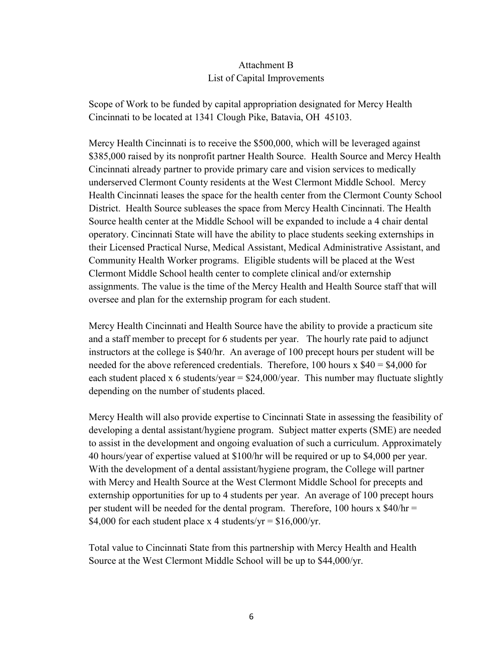# Attachment B List of Capital Improvements

Scope of Work to be funded by capital appropriation designated for Mercy Health Cincinnati to be located at 1341 Clough Pike, Batavia, OH 45103.

Mercy Health Cincinnati is to receive the \$500,000, which will be leveraged against \$385,000 raised by its nonprofit partner Health Source. Health Source and Mercy Health Cincinnati already partner to provide primary care and vision services to medically underserved Clermont County residents at the West Clermont Middle School. Mercy Health Cincinnati leases the space for the health center from the Clermont County School District. Health Source subleases the space from Mercy Health Cincinnati. The Health Source health center at the Middle School will be expanded to include a 4 chair dental operatory. Cincinnati State will have the ability to place students seeking externships in their Licensed Practical Nurse, Medical Assistant, Medical Administrative Assistant, and Community Health Worker programs. Eligible students will be placed at the West Clermont Middle School health center to complete clinical and/or externship assignments. The value is the time of the Mercy Health and Health Source staff that will oversee and plan for the externship program for each student.

Mercy Health Cincinnati and Health Source have the ability to provide a practicum site and a staff member to precept for 6 students per year. The hourly rate paid to adjunct instructors at the college is \$40/hr. An average of 100 precept hours per student will be needed for the above referenced credentials. Therefore, 100 hours  $x$  \$40 = \$4,000 for each student placed x 6 students/year =  $$24,000/year$ . This number may fluctuate slightly depending on the number of students placed.

Mercy Health will also provide expertise to Cincinnati State in assessing the feasibility of developing a dental assistant/hygiene program. Subject matter experts (SME) are needed to assist in the development and ongoing evaluation of such a curriculum. Approximately 40 hours/year of expertise valued at \$100/hr will be required or up to \$4,000 per year. With the development of a dental assistant/hygiene program, the College will partner with Mercy and Health Source at the West Clermont Middle School for precepts and externship opportunities for up to 4 students per year. An average of 100 precept hours per student will be needed for the dental program. Therefore, 100 hours  $x$  \$40/hr = \$4,000 for each student place x 4 students/yr =  $$16,000/yr$ .

Total value to Cincinnati State from this partnership with Mercy Health and Health Source at the West Clermont Middle School will be up to \$44,000/yr.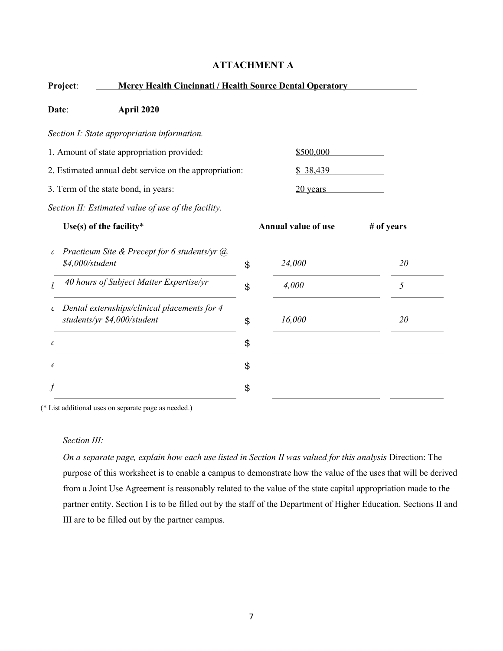| <b>Mercy Health Cincinnati / Health Source Dental Operatory</b><br>Project: |                                                                             |    |                            |            |
|-----------------------------------------------------------------------------|-----------------------------------------------------------------------------|----|----------------------------|------------|
| Date:                                                                       | <b>April 2020</b>                                                           |    |                            |            |
|                                                                             | Section I: State appropriation information.                                 |    |                            |            |
| 1. Amount of state appropriation provided:                                  |                                                                             |    | \$500,000                  |            |
| 2. Estimated annual debt service on the appropriation:                      |                                                                             |    | \$38,439                   |            |
| 3. Term of the state bond, in years:                                        |                                                                             |    | 20 years                   |            |
|                                                                             | Section II: Estimated value of use of the facility.                         |    |                            |            |
| Use(s) of the facility*                                                     |                                                                             |    | <b>Annual value of use</b> | # of years |
| G<br>\$4,000/student                                                        | Practicum Site & Precept for 6 students/yr $(a)$                            | \$ | 24,000                     | 20         |
|                                                                             | 40 hours of Subject Matter Expertise/yr                                     | \$ | 4,000                      | 5          |
| $\epsilon$                                                                  | Dental externships/clinical placements for 4<br>students/yr \$4,000/student | \$ | 16,000                     | 20         |
| G                                                                           |                                                                             | \$ |                            |            |
| $\epsilon$                                                                  |                                                                             | \$ |                            |            |
|                                                                             |                                                                             | \$ |                            |            |
|                                                                             |                                                                             |    |                            |            |

## **ATTACHMENT A**

(\* List additional uses on separate page as needed.)

#### *Section III:*

*On a separate page, explain how each use listed in Section II was valued for this analysis* Direction: The purpose of this worksheet is to enable a campus to demonstrate how the value of the uses that will be derived from a Joint Use Agreement is reasonably related to the value of the state capital appropriation made to the partner entity. Section I is to be filled out by the staff of the Department of Higher Education. Sections II and III are to be filled out by the partner campus.